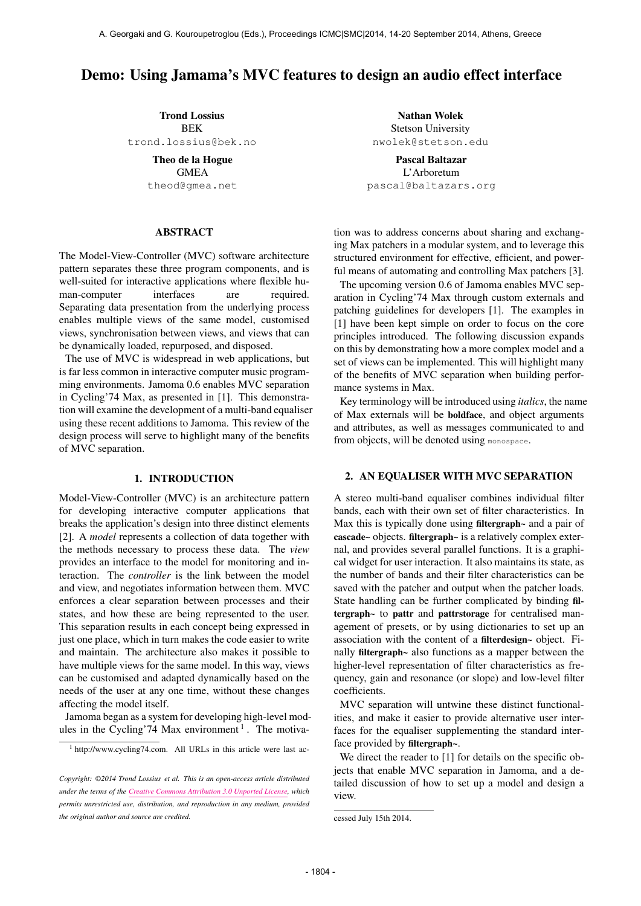# Demo: Using Jamama's MVC features to design an audio effect interface

Trond Lossius BEK [trond.lossius@bek.no](mailto:trond.lossius@bek.no)

> Theo de la Hogue **GMEA** [theod@gmea.net](mailto:theod@gmea.net)

## ABSTRACT

The Model-View-Controller (MVC) software architecture pattern separates these three program components, and is well-suited for interactive applications where flexible human-computer interfaces are required. Separating data presentation from the underlying process enables multiple views of the same model, customised views, synchronisation between views, and views that can be dynamically loaded, repurposed, and disposed.

The use of MVC is widespread in web applications, but is far less common in interactive computer music programming environments. Jamoma 0.6 enables MVC separation in Cycling'74 Max, as presented in [1]. This demonstration will examine the development of a multi-band equaliser using these recent additions to Jamoma. This review of the design process will serve to highlight many of the benefits of MVC separation.

# 1. INTRODUCTION

Model-View-Controller (MVC) is an architecture pattern for developing interactive computer applications that breaks the application's design into three distinct elements [2]. A *model* represents a collection of data together with the methods necessary to process these data. The *view* provides an interface to the model for monitoring and interaction. The *controller* is the link between the model and view, and negotiates information between them. MVC enforces a clear separation between processes and their states, and how these are being represented to the user. This separation results in each concept being expressed in just one place, which in turn makes the code easier to write and maintain. The architecture also makes it possible to have multiple views for the same model. In this way, views can be customised and adapted dynamically based on the needs of the user at any one time, without these changes affecting the model itself.

Jamoma began as a system for developing high-level modules in the Cycling'74 Max environment<sup>1</sup>. The motiva-

Nathan Wolek Stetson University [nwolek@stetson.edu](mailto:nwolek@stetson.edu)

Pascal Baltazar L'Arboretum [pascal@baltazars.org](mailto:pascal@baltazars.org)

[tion was to address concerns about sharing and exchang](http://cycling74.com)[ing Max patchers in a modular system, and to leverage this](http://cycling74.com) [structured environment for effective, efficient, and power](http://cycling74.com)[ful means of automating and controlling Max patchers \[3\].](http://cycling74.com)

[The upcoming version 0.6 of Jamoma enables MVC sep](http://cycling74.com)[aration in Cycling'74 Max through custom externals and](http://cycling74.com) [patching guidelines for developers \[1\]. The examples in](http://cycling74.com) [\[1\] have been kept simple on order to focus on the core](http://cycling74.com) [principles introduced. The following discussion expands](http://cycling74.com) [on this by demonstrating how a more complex model and a](http://cycling74.com) [set of views can be implemented. This will highlight many](http://cycling74.com) [of the benefits of MVC separation when building perfor](http://cycling74.com)[mance systems in Max.](http://cycling74.com)

[Key terminology will be introduced using](http://cycling74.com) *italics*, the name [of Max externals will be](http://cycling74.com) boldface, and object arguments [and attributes, as well as messages communicated to and](http://cycling74.com) [from objects, will be denoted using](http://cycling74.com) monospace.

# [2. AN EQUALISER WITH MVC SEPARATION](http://cycling74.com)

[A stereo multi-band equaliser combines individual filter](http://cycling74.com) [bands, each with their own set of filter characteristics. In](http://cycling74.com) [Max this is typically done using](http://cycling74.com) filtergraph~ and a pair of cascade~ objects. filtergraph~ [is a relatively complex exter](http://cycling74.com)[nal, and provides several parallel functions. It is a graphi](http://cycling74.com)[cal widget for user interaction. It also maintains its state, as](http://cycling74.com) [the number of bands and their filter characteristics can be](http://cycling74.com) [saved with the patcher and output when the patcher loads.](http://cycling74.com) [State handling can be further complicated by binding](http://cycling74.com) filtergraph~ to pattr and pattrstorage [for centralised man](http://cycling74.com)[agement of presets, or by using dictionaries to set up an](http://cycling74.com) [association with the content of a](http://cycling74.com) filterdesign~ object. Finally filtergraph~ [also functions as a mapper between the](http://cycling74.com) [higher-level representation of filter characteristics as fre](http://cycling74.com)[quency, gain and resonance \(or slope\) and low-level filter](http://cycling74.com) [coefficients.](http://cycling74.com)

[MVC separation will untwine these distinct functional](http://cycling74.com)[ities, and make it easier to provide alternative user inter](http://cycling74.com)[faces for the equaliser supplementing the standard inter](http://cycling74.com)[face provided by](http://cycling74.com) filtergraph~.

[We direct the reader to \[1\] for details on the specific ob](http://cycling74.com)[jects that enable MVC separation in Jamoma, and a de](http://cycling74.com)[tailed discussion of how to set up a model and design a](http://cycling74.com) [view.](http://cycling74.com)

<sup>1</sup> [http://www.cycling74.com. All URLs in this article were last ac-](http://cycling74.com)

*Copyright: ©2014 Trond Lossius et al. This is an open-access article distributed under the terms of the [Creative Commons Attribution 3.0 Unported License,](http://creativecommons.org/licenses/by/3.0/) which permits unrestricted use, distribution, and reproduction in any medium, provided the original author and source are credited.*

[cessed July 15th 2014.](http://cycling74.com)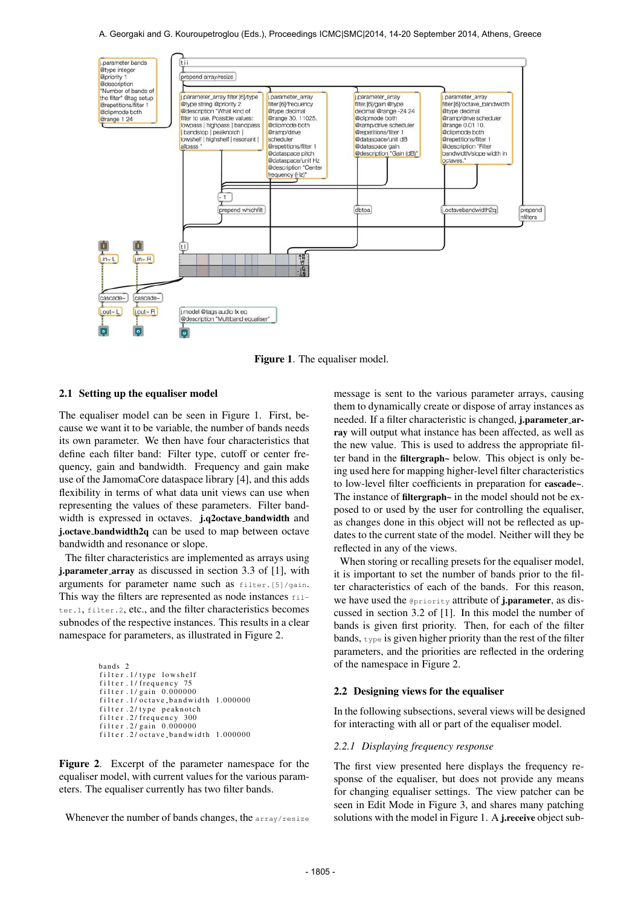A. Georgaki and G. Kouroupetroglou (Eds.), Proceedings ICMC|SMC|2014, 14-20 September 2014, Athens, Greece



Figure 1. The equaliser model.

# 2.1 Setting up the equaliser model

The equaliser model can be seen in Figure 1. First, because we want it to be variable, the number of bands needs its own parameter. We then have four characteristics that define each filter band: Filter type, cutoff or center frequency, gain and bandwidth. Frequency and gain make use of the JamomaCore dataspace library [4], and this adds flexibility in terms of what data unit views can use when representing the values of these parameters. Filter bandwidth is expressed in octaves. j.q2octave bandwidth and j.octave bandwidth2q can be used to map between octave bandwidth and resonance or slope.

The filter characteristics are implemented as arrays using j.parameter array as discussed in section 3.3 of [1], with arguments for parameter name such as filter.[5]/gain. This way the filters are represented as node instances  $f11$ ter.1, filter.2, etc., and the filter characteristics becomes subnodes of the respective instances. This results in a clear namespace for parameters, as illustrated in Figure 2.

```
bands 2
filter.1/type lowshelf
filter .1 / frequency 75
filter.1/gain.0.000000filter.1/octave-band width 1.000000filter.2/type peaknotch
f i l t e r . 2 / f r e q u e n c y 300
f i l t e r . 2 / g ai n 0. 0 0 0 0 0 0
filter .2/\overline{o}ctave_bandwidth 1.000000
```
Figure 2. Excerpt of the parameter namespace for the equaliser model, with current values for the various parameters. The equaliser currently has two filter bands.

Whenever the number of bands changes, the array/resize

message is sent to the various parameter arrays, causing them to dynamically create or dispose of array instances as needed. If a filter characteristic is changed, **i.parameter\_ar**ray will output what instance has been affected, as well as the new value. This is used to address the appropriate filter band in the filtergraph~ below. This object is only being used here for mapping higher-level filter characteristics to low-level filter coefficients in preparation for cascade~. The instance of filtergraph~ in the model should not be exposed to or used by the user for controlling the equaliser, as changes done in this object will not be reflected as updates to the current state of the model. Neither will they be reflected in any of the views.

When storing or recalling presets for the equaliser model, it is important to set the number of bands prior to the filter characteristics of each of the bands. For this reason, we have used the **@priority** attribute of **j.parameter**, as discussed in section 3.2 of [1]. In this model the number of bands is given first priority. Then, for each of the filter bands, type is given higher priority than the rest of the filter parameters, and the priorities are reflected in the ordering of the namespace in Figure 2.

## 2.2 Designing views for the equaliser

In the following subsections, several views will be designed for interacting with all or part of the equaliser model.

#### *2.2.1 Displaying frequency response*

The first view presented here displays the frequency response of the equaliser, but does not provide any means for changing equaliser settings. The view patcher can be seen in Edit Mode in Figure 3, and shares many patching solutions with the model in Figure 1. A *j.receive* object sub-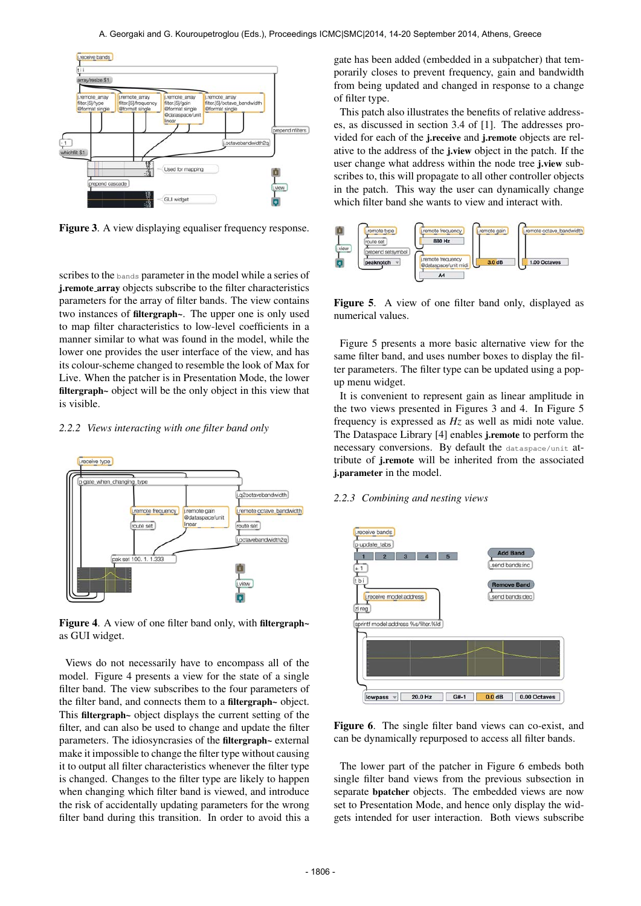

Figure 3. A view displaying equaliser frequency response.

scribes to the bands parameter in the model while a series of j.remote array objects subscribe to the filter characteristics parameters for the array of filter bands. The view contains two instances of filtergraph~. The upper one is only used to map filter characteristics to low-level coefficients in a manner similar to what was found in the model, while the lower one provides the user interface of the view, and has its colour-scheme changed to resemble the look of Max for Live. When the patcher is in Presentation Mode, the lower filtergraph~ object will be the only object in this view that is visible.

## *2.2.2 Views interacting with one filter band only*



Figure 4. A view of one filter band only, with filtergraph~ as GUI widget.

Views do not necessarily have to encompass all of the model. Figure 4 presents a view for the state of a single filter band. The view subscribes to the four parameters of the filter band, and connects them to a filtergraph~ object. This filtergraph~ object displays the current setting of the filter, and can also be used to change and update the filter parameters. The idiosyncrasies of the filtergraph~ external make it impossible to change the filter type without causing it to output all filter characteristics whenever the filter type is changed. Changes to the filter type are likely to happen when changing which filter band is viewed, and introduce the risk of accidentally updating parameters for the wrong filter band during this transition. In order to avoid this a gate has been added (embedded in a subpatcher) that temporarily closes to prevent frequency, gain and bandwidth from being updated and changed in response to a change of filter type.

This patch also illustrates the benefits of relative addresses, as discussed in section 3.4 of [1]. The addresses provided for each of the j.receive and j.remote objects are relative to the address of the j.view object in the patch. If the user change what address within the node tree j.view subscribes to, this will propagate to all other controller objects in the patch. This way the user can dynamically change which filter band she wants to view and interact with.





Figure 5 presents a more basic alternative view for the same filter band, and uses number boxes to display the filter parameters. The filter type can be updated using a popup menu widget.

It is convenient to represent gain as linear amplitude in the two views presented in Figures 3 and 4. In Figure 5 frequency is expressed as *Hz* as well as midi note value. The Dataspace Library [4] enables j.remote to perform the necessary conversions. By default the dataspace/unit attribute of j.remote will be inherited from the associated j.parameter in the model.

#### *2.2.3 Combining and nesting views*



Figure 6. The single filter band views can co-exist, and can be dynamically repurposed to access all filter bands.

The lower part of the patcher in Figure 6 embeds both single filter band views from the previous subsection in separate bpatcher objects. The embedded views are now set to Presentation Mode, and hence only display the widgets intended for user interaction. Both views subscribe